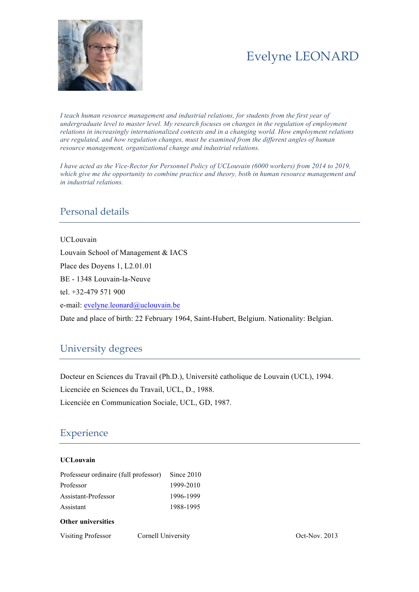

# Evelyne LEONARD

*I teach human resource management and industrial relations, for students from the first year of undergraduate level to master level. My research focuses on changes in the regulation of employment relations in increasingly internationalized contexts and in a changing world. How employment relations are regulated, and how regulation changes, must be examined from the different angles of human resource management, organizational change and industrial relations.*

*I have acted as the Vice-Rector for Personnel Policy of UCLouvain (6000 workers) from 2014 to 2019, which give me the opportunity to combine practice and theory, both in human resource management and in industrial relations.*

## Personal details

UCLouvain Louvain School of Management & IACS Place des Doyens 1, L2.01.01 BE - 1348 Louvain-la-Neuve tel. +32-479 571 900 e-mail: evelyne.leonard@uclouvain.be Date and place of birth: 22 February 1964, Saint-Hubert, Belgium. Nationality: Belgian.

## University degrees

Docteur en Sciences du Travail (Ph.D.), Université catholique de Louvain (UCL), 1994. Licenciée en Sciences du Travail, UCL, D., 1988. Licenciée en Communication Sociale, UCL, GD, 1987.

## Experience

### **UCLouvain**

| Professeur ordinaire (full professor) Since 2010 |           |
|--------------------------------------------------|-----------|
| Professor                                        | 1999-2010 |
| Assistant-Professor                              | 1996-1999 |
| Assistant                                        | 1988-1995 |
| <b>Other universities</b>                        |           |

Visiting Professor Cornell University Oct-Nov. 2013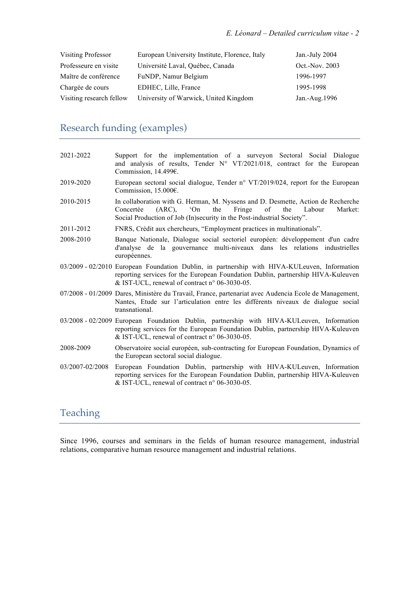| Visiting Professor       | European University Institute, Florence, Italy | Jan.-July 2004 |
|--------------------------|------------------------------------------------|----------------|
| Professeure en visite    | Université Laval, Québec, Canada               | Oct.-Nov. 2003 |
| Maître de conférence     | FuNDP, Namur Belgium                           | 1996-1997      |
| Chargée de cours         | EDHEC, Lille, France                           | 1995-1998      |
| Visiting research fellow | University of Warwick, United Kingdom          | Jan.-Aug.1996  |

## Research funding (examples)

| 2021-2022       | Support for the implementation of a surveyon Sectoral Social Dialogue<br>and analysis of results, Tender $N^{\circ}$ VT/2021/018, contract for the European<br>Commission, 14.499€.                                                           |
|-----------------|-----------------------------------------------------------------------------------------------------------------------------------------------------------------------------------------------------------------------------------------------|
| 2019-2020       | European sectoral social dialogue, Tender n° VT/2019/024, report for the European<br>Commission, $15.000\varepsilon$ .                                                                                                                        |
| 2010-2015       | In collaboration with G. Herman, M. Nyssens and D. Desmette, Action de Recherche<br>Fringe<br>of<br>Concertée<br>$(ARC)$ , $'On$<br>the<br>the<br>Labour<br>Market:<br>Social Production of Job (In)security in the Post-industrial Society". |
| 2011-2012       | FNRS, Crédit aux chercheurs, "Employment practices in multinationals".                                                                                                                                                                        |
| 2008-2010       | Banque Nationale, Dialogue social sectoriel européen: développement d'un cadre<br>d'analyse de la gouvernance multi-niveaux dans les relations industrielles<br>européennes.                                                                  |
|                 | 03/2009 - 02/2010 European Foundation Dublin, in partnership with HIVA-KULeuven, Information<br>reporting services for the European Foundation Dublin, partnership HIVA-Kuleuven<br>& IST-UCL, renewal of contract $n^{\circ}$ 06-3030-05.    |
|                 | 07/2008 - 01/2009 Dares, Ministère du Travail, France, partenariat avec Audencia Ecole de Management,<br>Nantes, Etude sur l'articulation entre les différents niveaux de dialogue social<br>transnational.                                   |
|                 | 03/2008 - 02/2009 European Foundation Dublin, partnership with HIVA-KULeuven, Information<br>reporting services for the European Foundation Dublin, partnership HIVA-Kuleuven<br>& IST-UCL, renewal of contract $n^{\circ}$ 06-3030-05.       |
| 2008-2009       | Observatoire social européen, sub-contracting for European Foundation, Dynamics of<br>the European sectoral social dialogue.                                                                                                                  |
| 03/2007-02/2008 | European Foundation Dublin, partnership with HIVA-KULeuven, Information<br>reporting services for the European Foundation Dublin, partnership HIVA-Kuleuven<br>& IST-UCL, renewal of contract $n^{\circ}$ 06-3030-05.                         |

## Teaching

Since 1996, courses and seminars in the fields of human resource management, industrial relations, comparative human resource management and industrial relations.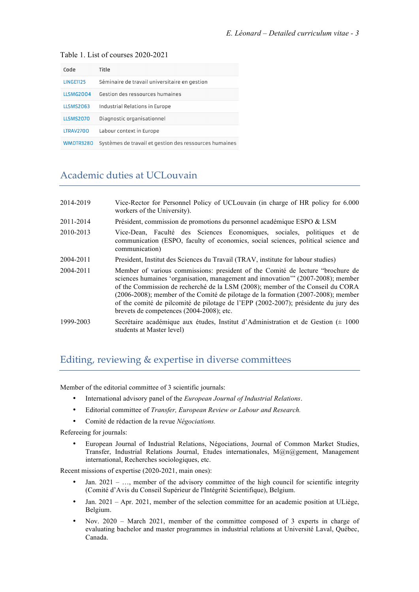| Code             | Title                                                  |
|------------------|--------------------------------------------------------|
| <b>LINGF1125</b> | Séminaire de travail universitaire en gestion          |
| <b>LLSMG2004</b> | Gestion des ressources humaines                        |
| <b>LLSMS2063</b> | Industrial Relations in Europe                         |
| <b>ILSMS2070</b> | Diagnostic organisationnel                             |
| <b>LTRAV2700</b> | Labour context in Europe                               |
| <b>WMDTR3280</b> | Systèmes de travail et gestion des ressources humaines |

#### Table 1. List of courses 2020-2021

## Academic duties at UCLouvain

| 2014-2019 | Vice-Rector for Personnel Policy of UCLouvain (in charge of HR policy for 6.000<br>workers of the University).                                                                                                                                                                                                                                                                                                                                                                     |
|-----------|------------------------------------------------------------------------------------------------------------------------------------------------------------------------------------------------------------------------------------------------------------------------------------------------------------------------------------------------------------------------------------------------------------------------------------------------------------------------------------|
| 2011-2014 | Président, commission de promotions du personnel académique ESPO & LSM                                                                                                                                                                                                                                                                                                                                                                                                             |
| 2010-2013 | Vice-Dean, Faculté des Sciences Economiques, sociales, politiques et de<br>communication (ESPO, faculty of economics, social sciences, political science and<br>communication)                                                                                                                                                                                                                                                                                                     |
| 2004-2011 | President, Institut des Sciences du Travail (TRAV, institute for labour studies)                                                                                                                                                                                                                                                                                                                                                                                                   |
| 2004-2011 | Member of various commissions: president of the Comité de lecture "brochure de<br>sciences humaines 'organisation, management and innovation'" (2007-2008); member<br>of the Commission de recherché de la LSM (2008); member of the Conseil du CORA<br>$(2006-2008)$ ; member of the Comité de pilotage de la formation $(2007-2008)$ ; member<br>of the comité de pilcomité de pilotage de l'EPP (2002-2007); présidente du jury des<br>brevets de competences (2004-2008); etc. |
| 1999-2003 | Secrétaire académique aux études, Institut d'Administration et de Gestion ( $\pm$ 1000<br>students at Master level)                                                                                                                                                                                                                                                                                                                                                                |

## Editing, reviewing & expertise in diverse committees

Member of the editorial committee of 3 scientific journals:

- International advisory panel of the *European Journal of Industrial Relations*.
- Editorial committee of *Transfer, European Review or Labour and Research.*
- Comité de rédaction de la revue *Négociations.*

Refereeing for journals:

• European Journal of Industrial Relations, Négociations, Journal of Common Market Studies, Transfer, Industrial Relations Journal, Etudes internationales, M@n@gement, Management international, Recherches sociologiques, etc.

Recent missions of expertise (2020-2021, main ones):

- Jan.  $2021 \ldots$ , member of the advisory committee of the high council for scientific integrity (Comité d'Avis du Conseil Supérieur de l'Intégrité Scientifique), Belgium.
- Jan. 2021 Apr. 2021, member of the selection committee for an academic position at ULiège, Belgium.
- Nov. 2020 March 2021, member of the committee composed of 3 experts in charge of evaluating bachelor and master programmes in industrial relations at Université Laval, Québec, Canada.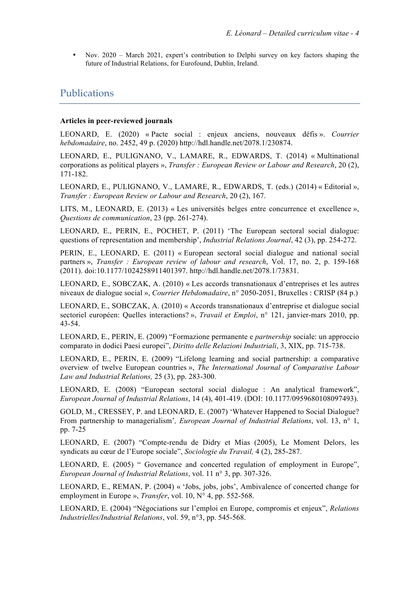• Nov. 2020 – March 2021, expert's contribution to Delphi survey on key factors shaping the future of Industrial Relations, for Eurofound, Dublin, Ireland.

### **Publications**

#### **Articles in peer-reviewed journals**

LEONARD, E. (2020) « Pacte social : enjeux anciens, nouveaux défis ». *Courrier hebdomadaire*, no. 2452, 49 p. (2020) http://hdl.handle.net/2078.1/230874.

LEONARD, E., PULIGNANO, V., LAMARE, R., EDWARDS, T. (2014) « Multinational corporations as political players », *Transfer : European Review or Labour and Research*, 20 (2), 171-182.

LEONARD, E., PULIGNANO, V., LAMARE, R., EDWARDS, T. (eds.) (2014) « Editorial », *Transfer : European Review or Labour and Research*, 20 (2), 167.

LITS, M., LEONARD, E. (2013) « Les universités belges entre concurrence et excellence », *Questions de communication*, 23 (pp. 261-274).

LEONARD, E., PERIN, E., POCHET, P. (2011) 'The European sectoral social dialogue: questions of representation and membership', *Industrial Relations Journal*, 42 (3), pp. 254-272.

PERIN, E., LEONARD, E. (2011) « European sectoral social dialogue and national social partners », *Transfer : European review of labour and research*, Vol. 17, no. 2, p. 159-168 (2011). doi:10.1177/1024258911401397. http://hdl.handle.net/2078.1/73831.

LEONARD, E., SOBCZAK, A. (2010) « Les accords transnationaux d'entreprises et les autres niveaux de dialogue social », *Courrier Hebdomadaire*, n° 2050-2051, Bruxelles : CRISP (84 p.)

LEONARD, E., SOBCZAK, A. (2010) « Accords transnationaux d'entreprise et dialogue social sectoriel européen: Quelles interactions? », *Travail et Emploi*, n° 121, janvier-mars 2010, pp. 43-54.

LEONARD, E., PERIN, E. (2009) "Formazione permanente e *partnership* sociale: un approccio comparato in dodici Paesi europei", *Diritto delle Relazioni Industriali*, 3, XIX, pp. 715-738.

LEONARD, E., PERIN, E. (2009) "Lifelong learning and social partnership: a comparative overview of twelve European countries », *The International Journal of Comparative Labour Law and Industrial Relations,* 25 (3), pp. 283-300.

LEONARD, E. (2008) "European sectoral social dialogue : An analytical framework", *European Journal of Industrial Relations*, 14 (4), 401-419. (DOI: 10.1177/0959680108097493).

GOLD, M., CRESSEY, P. and LEONARD, E. (2007) 'Whatever Happened to Social Dialogue? From partnership to managerialism'*, European Journal of Industrial Relations*, vol. 13, n° 1, pp. 7-25

LEONARD, E. (2007) "Compte-rendu de Didry et Mias (2005), Le Moment Delors, les syndicats au cœur de l'Europe sociale", *Sociologie du Travail,* 4 (2), 285-287.

LEONARD, E. (2005) " Governance and concerted regulation of employment in Europe", *European Journal of Industrial Relations*, vol. 11 n° 3, pp. 307-326.

LEONARD, E., REMAN, P. (2004) « 'Jobs, jobs, jobs', Ambivalence of concerted change for employment in Europe », *Transfer*, vol. 10, N° 4, pp. 552-568.

LEONARD, E. (2004) "Négociations sur l'emploi en Europe, compromis et enjeux", *Relations Industrielles/Industrial Relations*, vol. 59, n°3, pp. 545-568.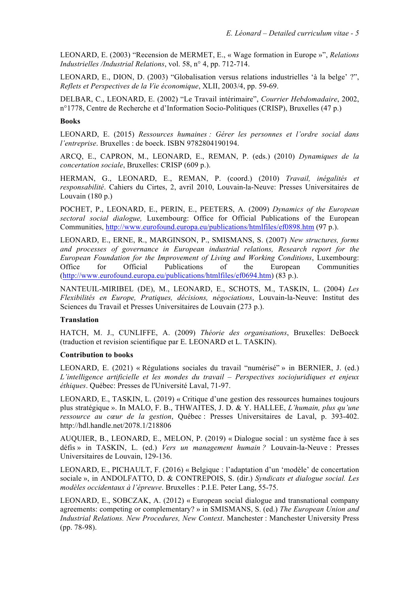LEONARD, E. (2003) "Recension de MERMET, E., « Wage formation in Europe »", *Relations Industrielles /Industrial Relations*, vol. 58, n° 4, pp. 712-714.

LEONARD, E., DION, D. (2003) "Globalisation versus relations industrielles 'à la belge' ?", *Reflets et Perspectives de la Vie économique*, XLII, 2003/4, pp. 59-69.

DELBAR, C., LEONARD, E. (2002) "Le Travail intérimaire", *Courrier Hebdomadaire*, 2002, n°1778, Centre de Recherche et d'Information Socio-Politiques (CRISP), Bruxelles (47 p.)

#### **Books**

LEONARD, E. (2015) *Ressources humaines : Gérer les personnes et l'ordre social dans l'entreprise*. Bruxelles : de boeck. ISBN 9782804190194.

ARCQ, E., CAPRON, M., LEONARD, E., REMAN, P. (eds.) (2010) *Dynamiques de la concertation sociale*, Bruxelles: CRISP (609 p.).

HERMAN, G., LEONARD, E., REMAN, P. (coord.) (2010) *Travail, inégalités et responsabilité*. Cahiers du Cirtes, 2, avril 2010, Louvain-la-Neuve: Presses Universitaires de Louvain (180 p.)

POCHET, P., LEONARD, E., PERIN, E., PEETERS, A. (2009) *Dynamics of the European sectoral social dialogue,* Luxembourg: Office for Official Publications of the European Communities, http://www.eurofound.europa.eu/publications/htmlfiles/ef0898.htm (97 p.).

LEONARD, E., ERNE, R., MARGINSON, P., SMISMANS, S. (2007) *New structures, forms and processes of governance in European industrial relations, Research report for the European Foundation for the Improvement of Living and Working Conditions*, Luxembourg: Office for Official Publications of the European Communities (http://www.eurofound.europa.eu/publications/htmlfiles/ef0694.htm) (83 p.).

NANTEUIL-MIRIBEL (DE), M., LEONARD, E., SCHOTS, M., TASKIN, L. (2004) *Les Flexibilités en Europe, Pratiques, décisions, négociations*, Louvain-la-Neuve: Institut des Sciences du Travail et Presses Universitaires de Louvain (273 p.).

### **Translation**

HATCH, M. J., CUNLIFFE, A. (2009) *Théorie des organisations*, Bruxelles: DeBoeck (traduction et revision scientifique par E. LEONARD et L. TASKIN).

#### **Contribution to books**

LEONARD, E. (2021) « Régulations sociales du travail "numérisé" » in BERNIER, J. (ed.) *L'intelligence artificielle et les mondes du travail – Perspectives sociojuridiques et enjeux éthiques*. Québec: Presses de l'Université Laval, 71-97.

LEONARD, E., TASKIN, L. (2019) « Critique d'une gestion des ressources humaines toujours plus stratégique ». In MALO, F. B., THWAITES, J. D. & Y. HALLEE, *L'humain, plus qu'une ressource au cœur de la gestion*, Québec : Presses Universitaires de Laval, p. 393-402. http://hdl.handle.net/2078.1/218806

AUQUIER, B., LEONARD, E., MELON, P. (2019) « Dialogue social : un système face à ses défis » in TASKIN, L. (ed.) *Vers un management humain ?* Louvain-la-Neuve : Presses Universitaires de Louvain, 129-136.

LEONARD, E., PICHAULT, F. (2016) « Belgique : l'adaptation d'un 'modèle' de concertation sociale », in ANDOLFATTO, D. & CONTREPOIS, S. (dir.) *Syndicats et dialogue social. Les modèles occidentaux à l'épreuve*. Bruxelles : P.I.E. Peter Lang, 55-75.

LEONARD, E., SOBCZAK, A. (2012) « European social dialogue and transnational company agreements: competing or complementary? » in SMISMANS, S. (ed.) *The European Union and Industrial Relations. New Procedures, New Context*. Manchester : Manchester University Press (pp. 78-98).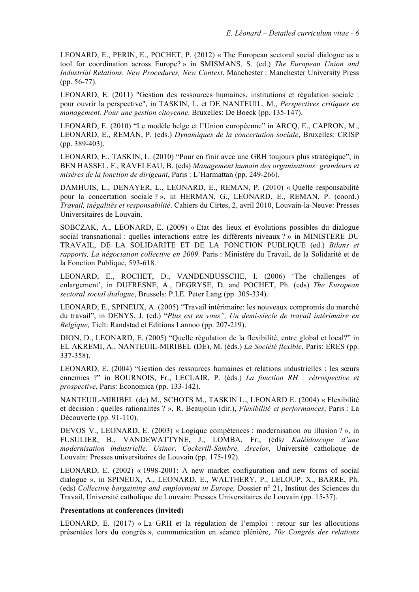LEONARD, E., PERIN, E., POCHET, P. (2012) « The European sectoral social dialogue as a tool for coordination across Europe? » in SMISMANS, S. (ed.) *The European Union and Industrial Relations. New Procedures, New Context*. Manchester : Manchester University Press (pp. 56-77).

LEONARD, E. (2011) "Gestion des ressources humaines, institutions et régulation sociale : pour ouvrir la perspective", in TASKIN, L, et DE NANTEUIL, M., *Perspectives critiques en management, Pour une gestion citoyenne*. Bruxelles: De Boeck (pp. 135-147).

LEONARD, E. (2010) "Le modèle belge et l'Union européenne" in ARCQ, E., CAPRON, M., LEONARD, E., REMAN, P. (eds.) *Dynamiques de la concertation sociale*, Bruxelles: CRISP (pp. 389-403).

LEONARD, E., TASKIN, L. (2010) "Pour en finir avec une GRH toujours plus stratégique", in BEN HASSEL, F., RAVELEAU, B. (eds) *Management humain des organisations: grandeurs et misères de la fonction de dirigeant*, Paris : L'Harmattan (pp. 249-266).

DAMHUIS, L., DENAYER, L., LEONARD, E., REMAN, P. (2010) « Quelle responsabilité pour la concertation sociale ? », in HERMAN, G., LEONARD, E., REMAN, P. (coord.) *Travail, inégalités et responsabilité*. Cahiers du Cirtes, 2, avril 2010, Louvain-la-Neuve: Presses Universitaires de Louvain.

SOBCZAK, A., LEONARD, E. (2009) « Etat des lieux et évolutions possibles du dialogue social transnational : quelles interactions entre les différents niveaux ? » in MINISTERE DU TRAVAIL, DE LA SOLIDARITE ET DE LA FONCTION PUBLIQUE (ed.) *Bilans et rapports, La négociation collective en 2009*. Paris : Ministère du Travail, de la Solidarité et de la Fonction Publique, 593-618.

LEONARD, E., ROCHET, D., VANDENBUSSCHE, I. (2006) 'The challenges of enlargement', in DUFRESNE, A., DEGRYSE, D. and POCHET, Ph. (eds) *The European sectoral social dialogue*, Brussels: P.I.E. Peter Lang (pp. 305-334).

LEONARD, E., SPINEUX, A. (2005) "Travail intérimaire: les nouveaux compromis du marché du travail", in DENYS, J. (ed.) "*Plus est en vous", Un demi-siècle de travail intérimaire en Belgique*, Tielt: Randstad et Editions Lannoo (pp. 207-219).

DION, D., LEONARD, E. (2005) "Quelle régulation de la flexibilité, entre global et local?" in EL AKREMI, A., NANTEUIL-MIRIBEL (DE), M. (éds.) *La Société flexible*, Paris: ERES (pp. 337-358).

LEONARD, E. (2004) "Gestion des ressources humaines et relations industrielles : les sœurs ennemies ?" in BOURNOIS, Fr., LECLAIR, P. (éds.) *La fonction RH : rétrospective et prospective*, Paris: Economica (pp. 133-142).

NANTEUIL-MIRIBEL (de) M., SCHOTS M., TASKIN L., LEONARD E. (2004) « Flexibilité et décision : quelles rationalités ? », R. Beaujolin (dir.), *Flexibilité et performances*, Paris : La Découverte (pp. 91-110).

DEVOS V., LEONARD, E. (2003) « Logique compétences : modernisation ou illusion ? », in FUSULIER, B., VANDEWATTYNE, J., LOMBA, Fr., (éds*) Kaléidoscope d'une modernisation industrielle. Usinor, Cockerill-Sambre, Arcelor*, Université catholique de Louvain: Presses universitaires de Louvain (pp. 175-192).

LEONARD, E. (2002) « 1998-2001: A new market configuration and new forms of social dialogue », in SPINEUX, A., LEONARD, E., WALTHERY, P., LELOUP, X., BARRE, Ph. (eds) *Collective bargaining and employment in Europe,* Dossier n° 21, Institut des Sciences du Travail, Université catholique de Louvain: Presses Universitaires de Louvain (pp. 15-37).

#### **Presentations at conferences (invited)**

LEONARD, E. (2017) « La GRH et la régulation de l'emploi : retour sur les allocutions présentées lors du congrès », communication en séance plénière, *70e Congrès des relations*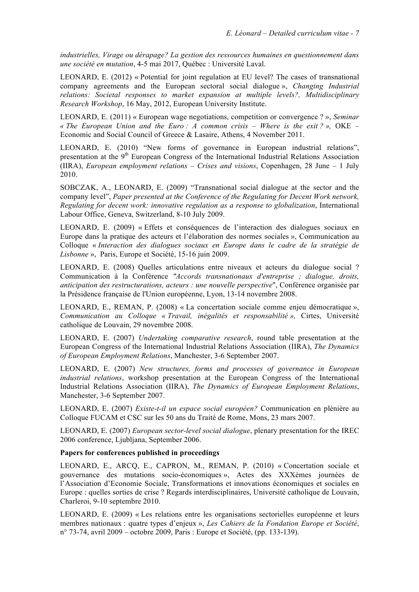*industrielles, Virage ou dérapage? La gestion des ressources humaines en questionnement dans une société en mutation*, 4-5 mai 2017, Québec : Université Laval.

LEONARD, E. (2012) « Potential for joint regulation at EU level? The cases of transnational company agreements and the European sectoral social dialogue », *Changing Industrial relations: Societal responses to market expansion at multiple levels?, Multidisciplinary Research Workshop*, 16 May, 2012, European University Institute.

LEONARD, E. (2011) « European wage negotiations, competition or convergence ? », *Seminar « The European Union and the Euro : A common crisis – Where is the exit ? »,* OKE – Economic and Social Council of Greece & Lasaire, Athens, 4 November 2011.

LEONARD, E. (2010) "New forms of governance in European industrial relations", presentation at the 9<sup>th</sup> European Congress of the International Industrial Relations Association (IIRA), *European employment relations – Crises and visions*, Copenhagen, 28 June – 1 July 2010.

SOBCZAK, A., LEONARD, E. (2009) "Transnational social dialogue at the sector and the company level", *Paper presented at the Conference of the Regulating for Decent Work network, Regulating for decent work: innovative regulation as a response to globalization*, International Labour Office, Geneva, Switzerland, 8-10 July 2009.

LEONARD, E. (2009) « Effets et conséquences de l'interaction des dialogues sociaux en Europe dans la pratique des acteurs et l'élaboration des normes sociales », Communication au Colloque « *Interaction des dialogues sociaux en Europe dans le cadre de la stratégie de Lisbonne* », Paris, Europe et Société, 15-16 juin 2009.

LEONARD, E. (2008) Quelles articulations entre niveaux et acteurs du dialogue social ? Communication à la Conférence *"Accords transnationaux d'entreprise ; dialogue, droits, anticipation des restructurations, acteurs : une nouvelle perspective*", Conférence organisée par la Présidence française de l'Union européenne, Lyon, 13-14 novembre 2008.

LEONARD, E., REMAN, P. (2008) « La concertation sociale comme enjeu démocratique », *Communication au Colloque « Travail, inégalités et responsabilité »,* Cirtes, Université catholique de Louvain, 29 novembre 2008.

LEONARD, E. (2007) *Undertaking comparative research*, round table presentation at the European Congress of the International Industrial Relations Association (IIRA), *The Dynamics of European Employment Relations*, Manchester, 3-6 September 2007.

LEONARD, E. (2007) *New structures, forms and processes of governance in European industrial relations*, workshop presentation at the European Congress of the International Industrial Relations Association (IIRA), *The Dynamics of European Employment Relations*, Manchester, 3-6 September 2007.

LEONARD, E. (2007) *Existe-t-il un espace social européen?* Communication en plénière au Colloque FUCAM et CSC sur les 50 ans du Traité de Rome, Mons, 23 mars 2007.

LEONARD, E. (2007) *European sector-level social dialogue*, plenary presentation for the IREC 2006 conference, Ljubljana, September 2006.

### **Papers for conferences published in proceedings**

LEONARD, E., ARCQ, E., CAPRON, M., REMAN, P. (2010) « Concertation sociale et gouvernance des mutations socio-économiques », Actes des XXXèmes journées de l'Association d'Economie Sociale, Transformations et innovations économiques et sociales en Europe : quelles sorties de crise ? Regards interdisciplinaires, Université catholique de Louvain, Charleroi, 9-10 septembre 2010.

LEONARD, E. (2009) « Les relations entre les organisations sectorielles européenne et leurs membres nationaux : quatre types d'enjeux », *Les Cahiers de la Fondation Europe et Société*, n° 73-74, avril 2009 – octobre 2009, Paris : Europe et Société, (pp. 133-139).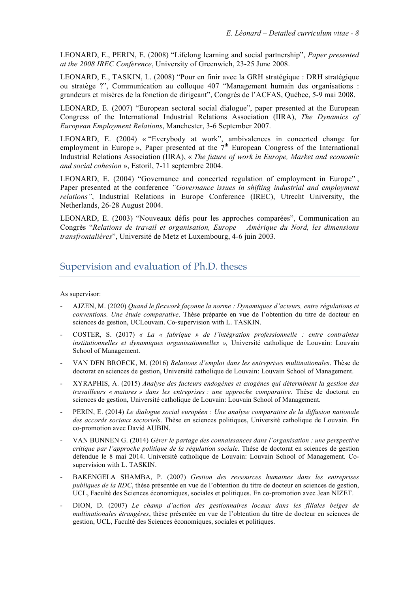LEONARD, E., PERIN, E. (2008) "Lifelong learning and social partnership", *Paper presented at the 2008 IREC Conference*, University of Greenwich, 23-25 June 2008.

LEONARD, E., TASKIN, L. (2008) "Pour en finir avec la GRH stratégique : DRH stratégique ou stratège ?", Communication au colloque 407 "Management humain des organisations : grandeurs et misères de la fonction de dirigeant", Congrès de l'ACFAS, Québec, 5-9 mai 2008.

LEONARD, E. (2007) "European sectoral social dialogue", paper presented at the European Congress of the International Industrial Relations Association (IIRA), *The Dynamics of European Employment Relations*, Manchester, 3-6 September 2007.

LEONARD, E. (2004) « "Everybody at work", ambivalences in concerted change for employment in Europe », Paper presented at the  $7<sup>th</sup>$  European Congress of the International Industrial Relations Association (IIRA), « *The future of work in Europe, Market and economic and social cohesion* », Estoril, 7-11 septembre 2004.

LEONARD, E. (2004) "Governance and concerted regulation of employment in Europe" , Paper presented at the conference *"Governance issues in shifting industrial and employment relations"*, Industrial Relations in Europe Conference (IREC), Utrecht University, the Netherlands, 26-28 August 2004.

LEONARD, E. (2003) "Nouveaux défis pour les approches comparées", Communication au Congrès "*Relations de travail et organisation, Europe – Amérique du Nord, les dimensions transfrontalières*", Université de Metz et Luxembourg, 4-6 juin 2003.

## Supervision and evaluation of Ph.D. theses

As supervisor:

- AJZEN, M. (2020) *Quand le flexwork façonne la norme : Dynamiques d'acteurs, entre régulations et conventions. Une étude comparative*. Thèse préparée en vue de l'obtention du titre de docteur en sciences de gestion, UCLouvain. Co-supervision with L. TASKIN.
- COSTER, S. (2017) *« La « fabrique » de l'intégration professionnelle : entre contraintes institutionnelles et dynamiques organisationnelles »,* Université catholique de Louvain: Louvain School of Management.
- VAN DEN BROECK, M. (2016) *Relations d'emploi dans les entreprises multinationales*. Thèse de doctorat en sciences de gestion, Université catholique de Louvain: Louvain School of Management.
- XYRAPHIS, A. (2015) *Analyse des facteurs endogènes et exogènes qui déterminent la gestion des travailleurs « matures » dans les entreprises : une approche comparative*. Thèse de doctorat en sciences de gestion, Université catholique de Louvain: Louvain School of Management.
- PERIN, E. (2014) *Le dialogue social européen : Une analyse comparative de la diffusion nationale des accords sociaux sectoriels*. Thèse en sciences politiques, Université catholique de Louvain. En co-promotion avec David AUBIN.
- VAN BUNNEN G. (2014) *Gérer le partage des connaissances dans l'organisation : une perspective critique par l'approche politique de la régulation sociale*. Thèse de doctorat en sciences de gestion défendue le 8 mai 2014. Université catholique de Louvain: Louvain School of Management. Cosupervision with L. TASKIN.
- BAKENGELA SHAMBA, P*.* (2007) *Gestion des ressources humaines dans les entreprises publiques de la RDC*, thèse présentée en vue de l'obtention du titre de docteur en sciences de gestion, UCL, Faculté des Sciences économiques, sociales et politiques. En co-promotion avec Jean NIZET.
- DION, D. (2007) *Le champ d'action des gestionnaires locaux dans les filiales belges de multinationales étrangères*, thèse présentée en vue de l'obtention du titre de docteur en sciences de gestion, UCL, Faculté des Sciences économiques, sociales et politiques.